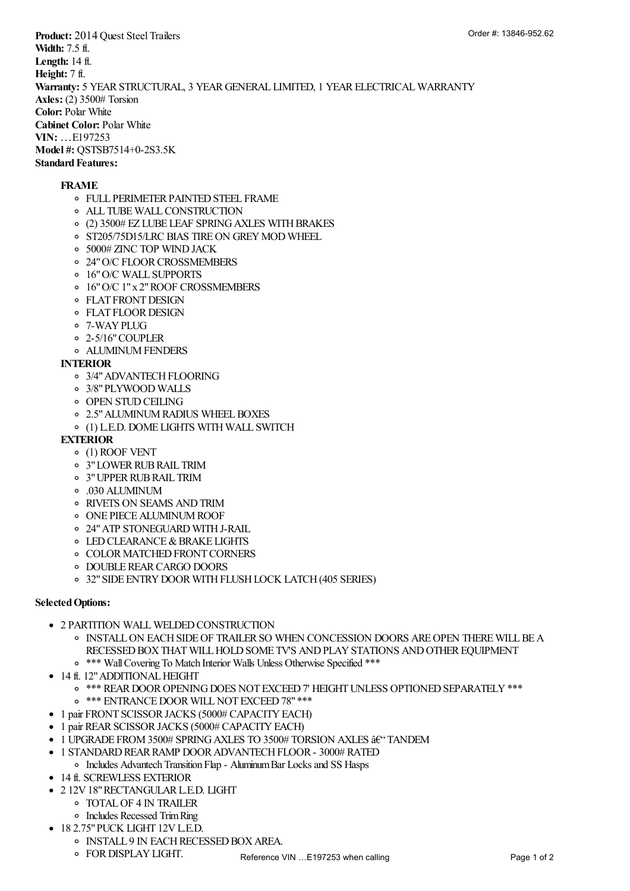**Product:** 2014 Quest Steel Trailers **Width:** 7.5 ft. **Length:** 14 ft. **Height:** 7 ft. **Warranty:** 5 YEAR STRUCTURAL, 3 YEAR GENERAL LIMITED, 1 YEAR ELECTRICAL WARRANTY **Axles:** (2) 3500# Torsion **Color:** Polar White **Cabinet Color:** Polar White **VIN:** …E197253 **Model #: QSTSB7514+0-2S3.5K Standard Features:**

## **FRAME**

- FULL PERIMETER PAINTED STEEL FRAME
- ALL TUBE WALL CONSTRUCTION
- (2) 3500# EZ LUBE LEAF SPRING AXLES WITH BRAKES
- o ST205/75D15/LRC BIAS TIRE ON GREY MOD WHEEL
- 5000# ZINC TOP WIND JACK
- 24" O/C FLOOR CROSSMEMBERS
- 16" O/C WALL SUPPORTS
- 16" O/C 1" x 2" ROOF CROSSMEMBERS
- FLAT FRONT DESIGN
- FLAT FLOOR DESIGN
- 7-WAY PLUG
- 2-5/16" COUPLER
- ALUMINUM FENDERS

## **INTERIOR**

- 3/4" ADVANTECH FLOORING
- 3/8" PLYWOOD WALLS
- OPEN STUD CEILING
- 2.5" ALUMINUM RADIUS WHEEL BOXES
- (1) L.E.D. DOME LIGHTS WITH WALL SWITCH

## **EXTERIOR**

- (1) ROOF VENT
- 3" LOWER RUB RAIL TRIM
- 3" UPPER RUB RAIL TRIM
- .030 ALUMINUM
- RIVETS ON SEAMS AND TRIM
- ONE PIECE ALUMINUM ROOF
- 24" ATP STONEGUARD WITH J-RAIL
- LED CLEARANCE & BRAKE LIGHTS
- COLOR MATCHED FRONT CORNERS
- DOUBLE REAR CARGO DOORS
- 32" SIDE ENTRY DOOR WITH FLUSH LOCK LATCH (405 SERIES)

## **Selected Options:**

- **2 PARTITION WALL WELDED CONSTRUCTION** 
	- INSTALL ON EACH SIDE OF TRAILER SO WHEN CONCESSION DOORS ARE OPEN THERE WILL BE A RECESSED BOX THAT WILL HOLD SOME TV'S AND PLAY STATIONS AND OTHER EQUIPMENT
	- \*\*\* Wall Covering To Match Interior Walls Unless Otherwise Specified \*\*\*
- 14 ft. 12" ADDITIONAL HEIGHT **\$448.00**
	- \*\*\* REAR DOOR OPENING DOES NOT EXCEED 7' HEIGHT UNLESS OPTIONED SEPARATELY \*\*\*
	- o \*\*\* ENTRANCE DOOR WILL NOT EXCEED 78" \*\*\*
- 1 pair FRONT SCISSOR JACKS (5000# CAPACITY EACH) **\$315.00**
- 1 pair REAR SCISSOR JACKS (5000# CAPACITY EACH) **\$315.00**
- 1 UPGRADE FROM 3500# SPRING AXLES TO 3500# TORSION AXLES  $\mathsf{\hat{a}}\mathsf{E}^\omega$  TANDEM
- 1 STANDARD REAR RAMP DOOR ADVANTECH FLOOR 3000# RATED **\$273.00**
	- Includes Advantech Transition Flap Aluminum Bar Locks and SS Hasps
- **14 ft. SCREWLESS EXTERIOR**
- 2 12V 18" RECTANGULAR L.E.D. LIGHT **\$256.00**
	- TOTAL OF 4 IN TRAILER
	- Includes Recessed Trim Ring
- 18 2.75" PUCK LIGHT 12V L.E.D. **\$774.00**
	- INSTALL 9 IN EACH RECESSED BOX AREA.
	- FOR DISPLAY LIGHT.